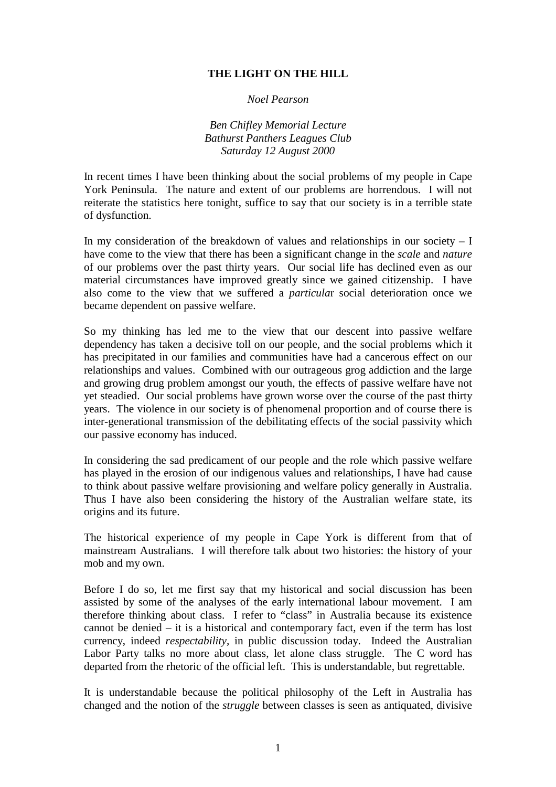## **THE LIGHT ON THE HILL**

## *Noel Pearson*

*Ben Chifley Memorial Lecture Bathurst Panthers Leagues Club Saturday 12 August 2000*

In recent times I have been thinking about the social problems of my people in Cape York Peninsula. The nature and extent of our problems are horrendous. I will not reiterate the statistics here tonight, suffice to say that our society is in a terrible state of dysfunction.

In my consideration of the breakdown of values and relationships in our society  $- I$ have come to the view that there has been a significant change in the *scale* and *nature* of our problems over the past thirty years. Our social life has declined even as our material circumstances have improved greatly since we gained citizenship. I have also come to the view that we suffered a *particula*r social deterioration once we became dependent on passive welfare.

So my thinking has led me to the view that our descent into passive welfare dependency has taken a decisive toll on our people, and the social problems which it has precipitated in our families and communities have had a cancerous effect on our relationships and values. Combined with our outrageous grog addiction and the large and growing drug problem amongst our youth, the effects of passive welfare have not yet steadied. Our social problems have grown worse over the course of the past thirty years. The violence in our society is of phenomenal proportion and of course there is inter-generational transmission of the debilitating effects of the social passivity which our passive economy has induced.

In considering the sad predicament of our people and the role which passive welfare has played in the erosion of our indigenous values and relationships, I have had cause to think about passive welfare provisioning and welfare policy generally in Australia. Thus I have also been considering the history of the Australian welfare state, its origins and its future.

The historical experience of my people in Cape York is different from that of mainstream Australians. I will therefore talk about two histories: the history of your mob and my own.

Before I do so, let me first say that my historical and social discussion has been assisted by some of the analyses of the early international labour movement. I am therefore thinking about class. I refer to "class" in Australia because its existence cannot be denied – it is a historical and contemporary fact, even if the term has lost currency, indeed *respectability,* in public discussion today. Indeed the Australian Labor Party talks no more about class, let alone class struggle. The C word has departed from the rhetoric of the official left. This is understandable, but regrettable.

It is understandable because the political philosophy of the Left in Australia has changed and the notion of the *struggle* between classes is seen as antiquated, divisive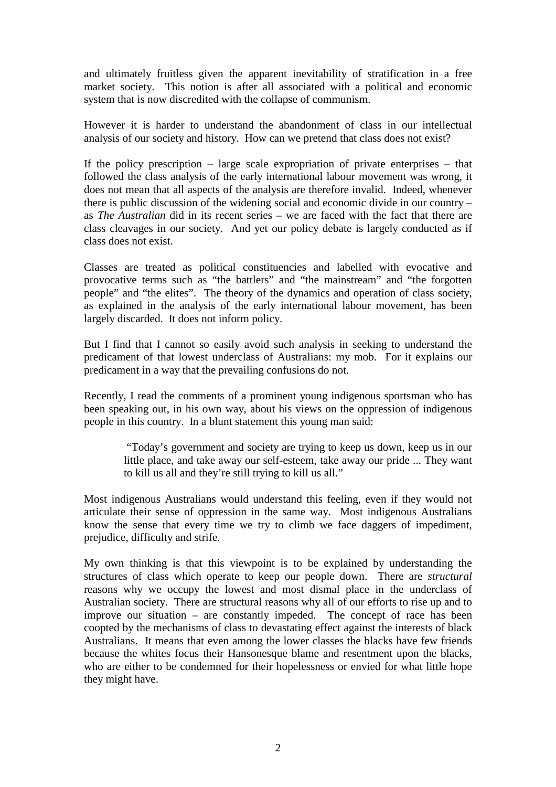and ultimately fruitless given the apparent inevitability of stratification in a free market society. This notion is after all associated with a political and economic system that is now discredited with the collapse of communism.

However it is harder to understand the abandonment of class in our intellectual analysis of our society and history. How can we pretend that class does not exist?

If the policy prescription – large scale expropriation of private enterprises – that followed the class analysis of the early international labour movement was wrong, it does not mean that all aspects of the analysis are therefore invalid. Indeed, whenever there is public discussion of the widening social and economic divide in our country – as *The Australian* did in its recent series – we are faced with the fact that there are class cleavages in our society. And yet our policy debate is largely conducted as if class does not exist.

Classes are treated as political constituencies and labelled with evocative and provocative terms such as "the battlers" and "the mainstream" and "the forgotten people" and "the elites". The theory of the dynamics and operation of class society, as explained in the analysis of the early international labour movement, has been largely discarded. It does not inform policy.

But I find that I cannot so easily avoid such analysis in seeking to understand the predicament of that lowest underclass of Australians: my mob. For it explains our predicament in a way that the prevailing confusions do not.

Recently, I read the comments of a prominent young indigenous sportsman who has been speaking out, in his own way, about his views on the oppression of indigenous people in this country. In a blunt statement this young man said:

> "Today's government and society are trying to keep us down, keep us in our little place, and take away our self-esteem, take away our pride ... They want to kill us all and they're still trying to kill us all."

Most indigenous Australians would understand this feeling, even if they would not articulate their sense of oppression in the same way. Most indigenous Australians know the sense that every time we try to climb we face daggers of impediment, prejudice, difficulty and strife.

My own thinking is that this viewpoint is to be explained by understanding the structures of class which operate to keep our people down. There are *structural* reasons why we occupy the lowest and most dismal place in the underclass of Australian society. There are structural reasons why all of our efforts to rise up and to improve our situation – are constantly impeded. The concept of race has been coopted by the mechanisms of class to devastating effect against the interests of black Australians. It means that even among the lower classes the blacks have few friends because the whites focus their Hansonesque blame and resentment upon the blacks, who are either to be condemned for their hopelessness or envied for what little hope they might have.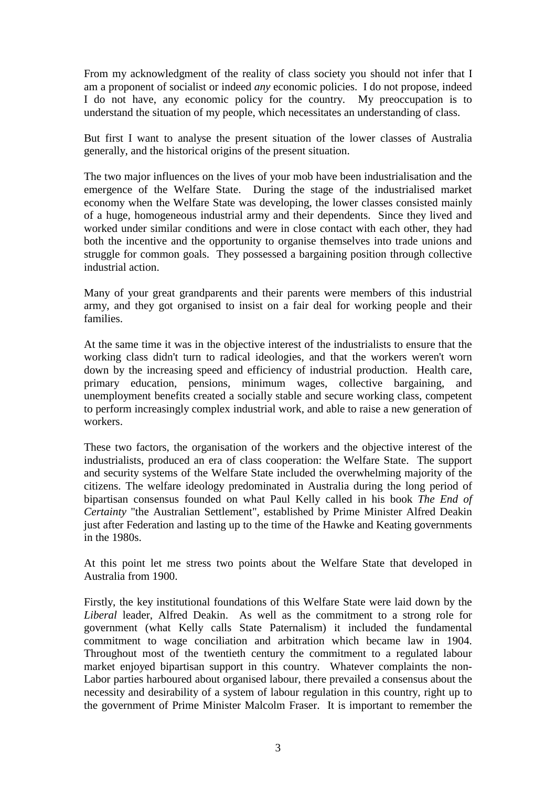From my acknowledgment of the reality of class society you should not infer that I am a proponent of socialist or indeed *any* economic policies. I do not propose, indeed I do not have, any economic policy for the country. My preoccupation is to understand the situation of my people, which necessitates an understanding of class.

But first I want to analyse the present situation of the lower classes of Australia generally, and the historical origins of the present situation.

The two major influences on the lives of your mob have been industrialisation and the emergence of the Welfare State. During the stage of the industrialised market economy when the Welfare State was developing, the lower classes consisted mainly of a huge, homogeneous industrial army and their dependents. Since they lived and worked under similar conditions and were in close contact with each other, they had both the incentive and the opportunity to organise themselves into trade unions and struggle for common goals. They possessed a bargaining position through collective industrial action.

Many of your great grandparents and their parents were members of this industrial army, and they got organised to insist on a fair deal for working people and their families.

At the same time it was in the objective interest of the industrialists to ensure that the working class didn't turn to radical ideologies, and that the workers weren't worn down by the increasing speed and efficiency of industrial production. Health care, primary education, pensions, minimum wages, collective bargaining, and unemployment benefits created a socially stable and secure working class, competent to perform increasingly complex industrial work, and able to raise a new generation of workers.

These two factors, the organisation of the workers and the objective interest of the industrialists, produced an era of class cooperation: the Welfare State. The support and security systems of the Welfare State included the overwhelming majority of the citizens. The welfare ideology predominated in Australia during the long period of bipartisan consensus founded on what Paul Kelly called in his book *The End of Certainty* "the Australian Settlement", established by Prime Minister Alfred Deakin just after Federation and lasting up to the time of the Hawke and Keating governments in the 1980s.

At this point let me stress two points about the Welfare State that developed in Australia from 1900.

Firstly, the key institutional foundations of this Welfare State were laid down by the *Liberal* leader, Alfred Deakin. As well as the commitment to a strong role for government (what Kelly calls State Paternalism) it included the fundamental commitment to wage conciliation and arbitration which became law in 1904. Throughout most of the twentieth century the commitment to a regulated labour market enjoyed bipartisan support in this country. Whatever complaints the non-Labor parties harboured about organised labour, there prevailed a consensus about the necessity and desirability of a system of labour regulation in this country, right up to the government of Prime Minister Malcolm Fraser. It is important to remember the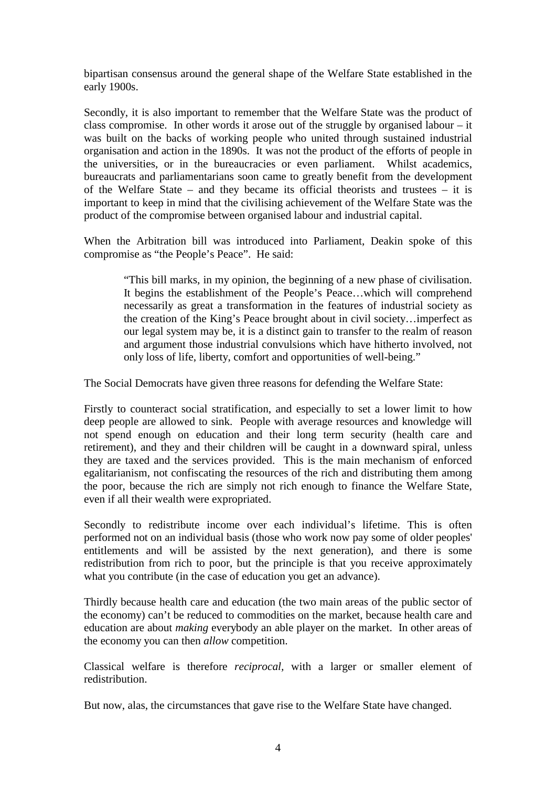bipartisan consensus around the general shape of the Welfare State established in the early 1900s.

Secondly, it is also important to remember that the Welfare State was the product of class compromise. In other words it arose out of the struggle by organised labour – it was built on the backs of working people who united through sustained industrial organisation and action in the 1890s. It was not the product of the efforts of people in the universities, or in the bureaucracies or even parliament. Whilst academics, bureaucrats and parliamentarians soon came to greatly benefit from the development of the Welfare State – and they became its official theorists and trustees – it is important to keep in mind that the civilising achievement of the Welfare State was the product of the compromise between organised labour and industrial capital.

When the Arbitration bill was introduced into Parliament, Deakin spoke of this compromise as "the People's Peace". He said:

 "This bill marks, in my opinion, the beginning of a new phase of civilisation. It begins the establishment of the People's Peace…which will comprehend necessarily as great a transformation in the features of industrial society as the creation of the King's Peace brought about in civil society…imperfect as our legal system may be, it is a distinct gain to transfer to the realm of reason and argument those industrial convulsions which have hitherto involved, not only loss of life, liberty, comfort and opportunities of well-being."

The Social Democrats have given three reasons for defending the Welfare State:

Firstly to counteract social stratification, and especially to set a lower limit to how deep people are allowed to sink. People with average resources and knowledge will not spend enough on education and their long term security (health care and retirement), and they and their children will be caught in a downward spiral, unless they are taxed and the services provided. This is the main mechanism of enforced egalitarianism, not confiscating the resources of the rich and distributing them among the poor, because the rich are simply not rich enough to finance the Welfare State, even if all their wealth were expropriated.

Secondly to redistribute income over each individual's lifetime. This is often performed not on an individual basis (those who work now pay some of older peoples' entitlements and will be assisted by the next generation), and there is some redistribution from rich to poor, but the principle is that you receive approximately what you contribute (in the case of education you get an advance).

Thirdly because health care and education (the two main areas of the public sector of the economy) can't be reduced to commodities on the market, because health care and education are about *making* everybody an able player on the market. In other areas of the economy you can then *allow* competition.

Classical welfare is therefore *reciprocal,* with a larger or smaller element of redistribution.

But now, alas, the circumstances that gave rise to the Welfare State have changed.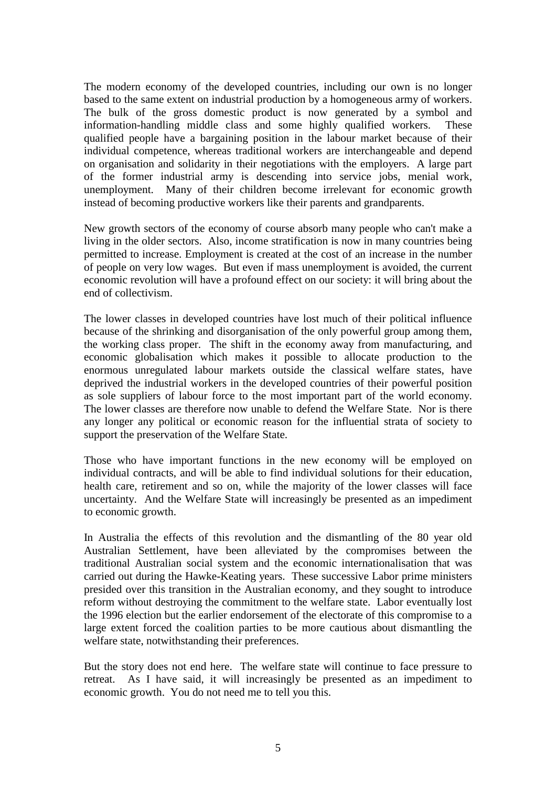The modern economy of the developed countries, including our own is no longer based to the same extent on industrial production by a homogeneous army of workers. The bulk of the gross domestic product is now generated by a symbol and information-handling middle class and some highly qualified workers. These qualified people have a bargaining position in the labour market because of their individual competence, whereas traditional workers are interchangeable and depend on organisation and solidarity in their negotiations with the employers. A large part of the former industrial army is descending into service jobs, menial work, unemployment. Many of their children become irrelevant for economic growth instead of becoming productive workers like their parents and grandparents.

New growth sectors of the economy of course absorb many people who can't make a living in the older sectors. Also, income stratification is now in many countries being permitted to increase. Employment is created at the cost of an increase in the number of people on very low wages. But even if mass unemployment is avoided, the current economic revolution will have a profound effect on our society: it will bring about the end of collectivism.

The lower classes in developed countries have lost much of their political influence because of the shrinking and disorganisation of the only powerful group among them, the working class proper. The shift in the economy away from manufacturing, and economic globalisation which makes it possible to allocate production to the enormous unregulated labour markets outside the classical welfare states, have deprived the industrial workers in the developed countries of their powerful position as sole suppliers of labour force to the most important part of the world economy. The lower classes are therefore now unable to defend the Welfare State. Nor is there any longer any political or economic reason for the influential strata of society to support the preservation of the Welfare State.

Those who have important functions in the new economy will be employed on individual contracts, and will be able to find individual solutions for their education, health care, retirement and so on, while the majority of the lower classes will face uncertainty. And the Welfare State will increasingly be presented as an impediment to economic growth.

In Australia the effects of this revolution and the dismantling of the 80 year old Australian Settlement, have been alleviated by the compromises between the traditional Australian social system and the economic internationalisation that was carried out during the Hawke-Keating years. These successive Labor prime ministers presided over this transition in the Australian economy, and they sought to introduce reform without destroying the commitment to the welfare state. Labor eventually lost the 1996 election but the earlier endorsement of the electorate of this compromise to a large extent forced the coalition parties to be more cautious about dismantling the welfare state, notwithstanding their preferences.

But the story does not end here. The welfare state will continue to face pressure to retreat. As I have said, it will increasingly be presented as an impediment to economic growth. You do not need me to tell you this.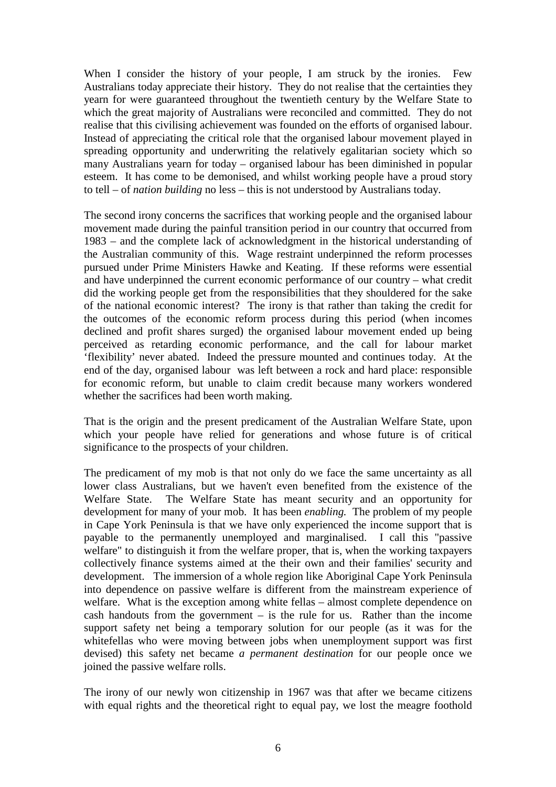When I consider the history of your people, I am struck by the ironies. Few Australians today appreciate their history. They do not realise that the certainties they yearn for were guaranteed throughout the twentieth century by the Welfare State to which the great majority of Australians were reconciled and committed. They do not realise that this civilising achievement was founded on the efforts of organised labour. Instead of appreciating the critical role that the organised labour movement played in spreading opportunity and underwriting the relatively egalitarian society which so many Australians yearn for today – organised labour has been diminished in popular esteem. It has come to be demonised, and whilst working people have a proud story to tell – of *nation building* no less – this is not understood by Australians today.

The second irony concerns the sacrifices that working people and the organised labour movement made during the painful transition period in our country that occurred from 1983 – and the complete lack of acknowledgment in the historical understanding of the Australian community of this. Wage restraint underpinned the reform processes pursued under Prime Ministers Hawke and Keating. If these reforms were essential and have underpinned the current economic performance of our country – what credit did the working people get from the responsibilities that they shouldered for the sake of the national economic interest? The irony is that rather than taking the credit for the outcomes of the economic reform process during this period (when incomes declined and profit shares surged) the organised labour movement ended up being perceived as retarding economic performance, and the call for labour market 'flexibility' never abated. Indeed the pressure mounted and continues today. At the end of the day, organised labour was left between a rock and hard place: responsible for economic reform, but unable to claim credit because many workers wondered whether the sacrifices had been worth making.

That is the origin and the present predicament of the Australian Welfare State, upon which your people have relied for generations and whose future is of critical significance to the prospects of your children.

The predicament of my mob is that not only do we face the same uncertainty as all lower class Australians, but we haven't even benefited from the existence of the Welfare State. The Welfare State has meant security and an opportunity for development for many of your mob. It has been *enabling.* The problem of my people in Cape York Peninsula is that we have only experienced the income support that is payable to the permanently unemployed and marginalised. I call this "passive welfare" to distinguish it from the welfare proper, that is, when the working taxpayers collectively finance systems aimed at the their own and their families' security and development. The immersion of a whole region like Aboriginal Cape York Peninsula into dependence on passive welfare is different from the mainstream experience of welfare. What is the exception among white fellas – almost complete dependence on cash handouts from the government  $-$  is the rule for us. Rather than the income support safety net being a temporary solution for our people (as it was for the whitefellas who were moving between jobs when unemployment support was first devised) this safety net became *a permanent destination* for our people once we joined the passive welfare rolls.

The irony of our newly won citizenship in 1967 was that after we became citizens with equal rights and the theoretical right to equal pay, we lost the meagre foothold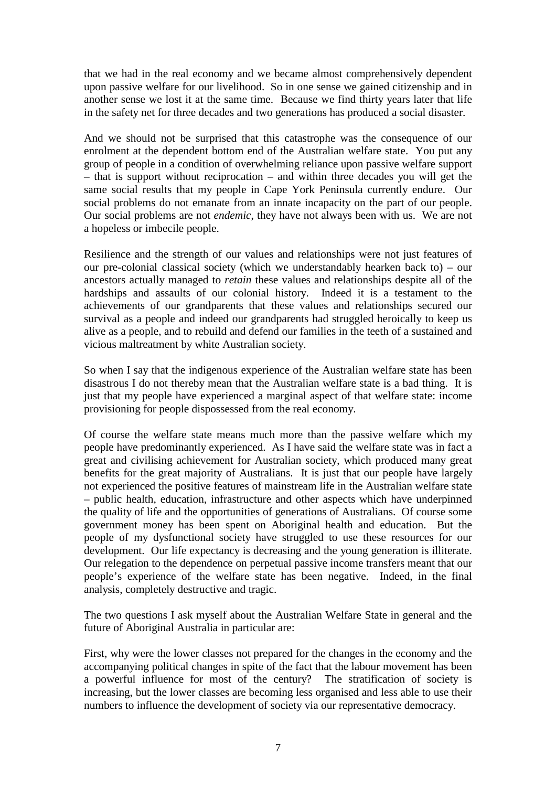that we had in the real economy and we became almost comprehensively dependent upon passive welfare for our livelihood. So in one sense we gained citizenship and in another sense we lost it at the same time. Because we find thirty years later that life in the safety net for three decades and two generations has produced a social disaster.

And we should not be surprised that this catastrophe was the consequence of our enrolment at the dependent bottom end of the Australian welfare state. You put any group of people in a condition of overwhelming reliance upon passive welfare support – that is support without reciprocation – and within three decades you will get the same social results that my people in Cape York Peninsula currently endure. Our social problems do not emanate from an innate incapacity on the part of our people. Our social problems are not *endemic*, they have not always been with us. We are not a hopeless or imbecile people.

Resilience and the strength of our values and relationships were not just features of our pre-colonial classical society (which we understandably hearken back to) – our ancestors actually managed to *retain* these values and relationships despite all of the hardships and assaults of our colonial history. Indeed it is a testament to the achievements of our grandparents that these values and relationships secured our survival as a people and indeed our grandparents had struggled heroically to keep us alive as a people, and to rebuild and defend our families in the teeth of a sustained and vicious maltreatment by white Australian society.

So when I say that the indigenous experience of the Australian welfare state has been disastrous I do not thereby mean that the Australian welfare state is a bad thing. It is just that my people have experienced a marginal aspect of that welfare state: income provisioning for people dispossessed from the real economy.

Of course the welfare state means much more than the passive welfare which my people have predominantly experienced. As I have said the welfare state was in fact a great and civilising achievement for Australian society, which produced many great benefits for the great majority of Australians. It is just that our people have largely not experienced the positive features of mainstream life in the Australian welfare state – public health, education, infrastructure and other aspects which have underpinned the quality of life and the opportunities of generations of Australians. Of course some government money has been spent on Aboriginal health and education. But the people of my dysfunctional society have struggled to use these resources for our development. Our life expectancy is decreasing and the young generation is illiterate. Our relegation to the dependence on perpetual passive income transfers meant that our people's experience of the welfare state has been negative. Indeed, in the final analysis, completely destructive and tragic.

The two questions I ask myself about the Australian Welfare State in general and the future of Aboriginal Australia in particular are:

First, why were the lower classes not prepared for the changes in the economy and the accompanying political changes in spite of the fact that the labour movement has been a powerful influence for most of the century? The stratification of society is increasing, but the lower classes are becoming less organised and less able to use their numbers to influence the development of society via our representative democracy.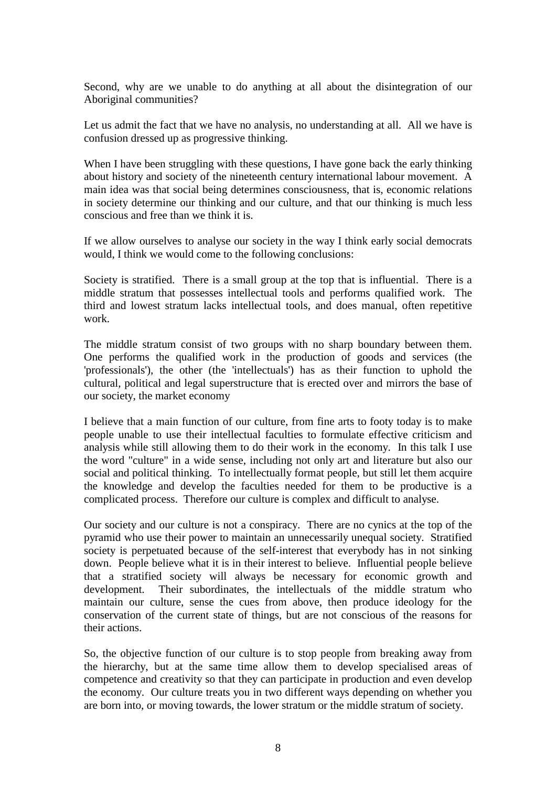Second, why are we unable to do anything at all about the disintegration of our Aboriginal communities?

Let us admit the fact that we have no analysis, no understanding at all. All we have is confusion dressed up as progressive thinking.

When I have been struggling with these questions, I have gone back the early thinking about history and society of the nineteenth century international labour movement. A main idea was that social being determines consciousness, that is, economic relations in society determine our thinking and our culture, and that our thinking is much less conscious and free than we think it is.

If we allow ourselves to analyse our society in the way I think early social democrats would, I think we would come to the following conclusions:

Society is stratified. There is a small group at the top that is influential. There is a middle stratum that possesses intellectual tools and performs qualified work. The third and lowest stratum lacks intellectual tools, and does manual, often repetitive work.

The middle stratum consist of two groups with no sharp boundary between them. One performs the qualified work in the production of goods and services (the 'professionals'), the other (the 'intellectuals') has as their function to uphold the cultural, political and legal superstructure that is erected over and mirrors the base of our society, the market economy

I believe that a main function of our culture, from fine arts to footy today is to make people unable to use their intellectual faculties to formulate effective criticism and analysis while still allowing them to do their work in the economy. In this talk I use the word "culture" in a wide sense, including not only art and literature but also our social and political thinking. To intellectually format people, but still let them acquire the knowledge and develop the faculties needed for them to be productive is a complicated process. Therefore our culture is complex and difficult to analyse.

Our society and our culture is not a conspiracy. There are no cynics at the top of the pyramid who use their power to maintain an unnecessarily unequal society. Stratified society is perpetuated because of the self-interest that everybody has in not sinking down. People believe what it is in their interest to believe. Influential people believe that a stratified society will always be necessary for economic growth and development. Their subordinates, the intellectuals of the middle stratum who maintain our culture, sense the cues from above, then produce ideology for the conservation of the current state of things, but are not conscious of the reasons for their actions.

So, the objective function of our culture is to stop people from breaking away from the hierarchy, but at the same time allow them to develop specialised areas of competence and creativity so that they can participate in production and even develop the economy. Our culture treats you in two different ways depending on whether you are born into, or moving towards, the lower stratum or the middle stratum of society.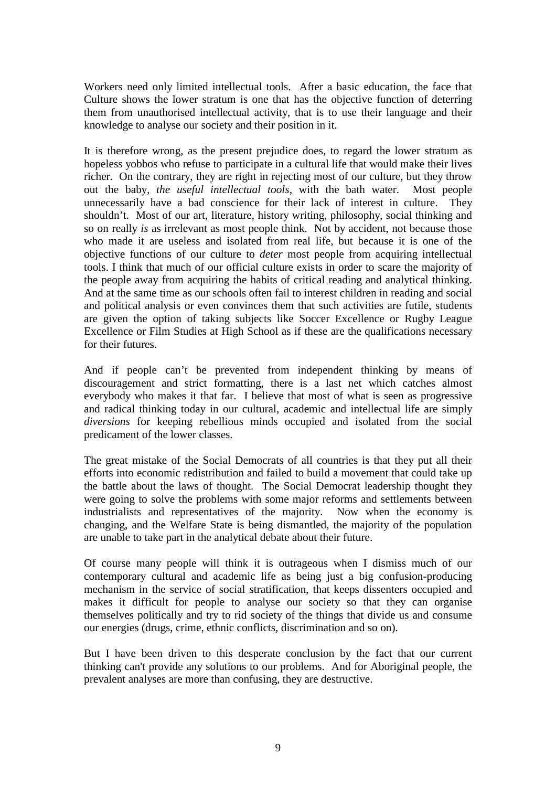Workers need only limited intellectual tools. After a basic education, the face that Culture shows the lower stratum is one that has the objective function of deterring them from unauthorised intellectual activity, that is to use their language and their knowledge to analyse our society and their position in it.

It is therefore wrong, as the present prejudice does, to regard the lower stratum as hopeless yobbos who refuse to participate in a cultural life that would make their lives richer. On the contrary, they are right in rejecting most of our culture, but they throw out the baby*, the useful intellectual tools*, with the bath water. Most people unnecessarily have a bad conscience for their lack of interest in culture. They shouldn't. Most of our art, literature, history writing, philosophy, social thinking and so on really *is* as irrelevant as most people think. Not by accident, not because those who made it are useless and isolated from real life, but because it is one of the objective functions of our culture to *deter* most people from acquiring intellectual tools. I think that much of our official culture exists in order to scare the majority of the people away from acquiring the habits of critical reading and analytical thinking. And at the same time as our schools often fail to interest children in reading and social and political analysis or even convinces them that such activities are futile, students are given the option of taking subjects like Soccer Excellence or Rugby League Excellence or Film Studies at High School as if these are the qualifications necessary for their futures.

And if people can't be prevented from independent thinking by means of discouragement and strict formatting, there is a last net which catches almost everybody who makes it that far. I believe that most of what is seen as progressive and radical thinking today in our cultural, academic and intellectual life are simply *diversions* for keeping rebellious minds occupied and isolated from the social predicament of the lower classes.

The great mistake of the Social Democrats of all countries is that they put all their efforts into economic redistribution and failed to build a movement that could take up the battle about the laws of thought. The Social Democrat leadership thought they were going to solve the problems with some major reforms and settlements between industrialists and representatives of the majority. Now when the economy is changing, and the Welfare State is being dismantled, the majority of the population are unable to take part in the analytical debate about their future.

Of course many people will think it is outrageous when I dismiss much of our contemporary cultural and academic life as being just a big confusion-producing mechanism in the service of social stratification, that keeps dissenters occupied and makes it difficult for people to analyse our society so that they can organise themselves politically and try to rid society of the things that divide us and consume our energies (drugs, crime, ethnic conflicts, discrimination and so on).

But I have been driven to this desperate conclusion by the fact that our current thinking can't provide any solutions to our problems. And for Aboriginal people, the prevalent analyses are more than confusing, they are destructive.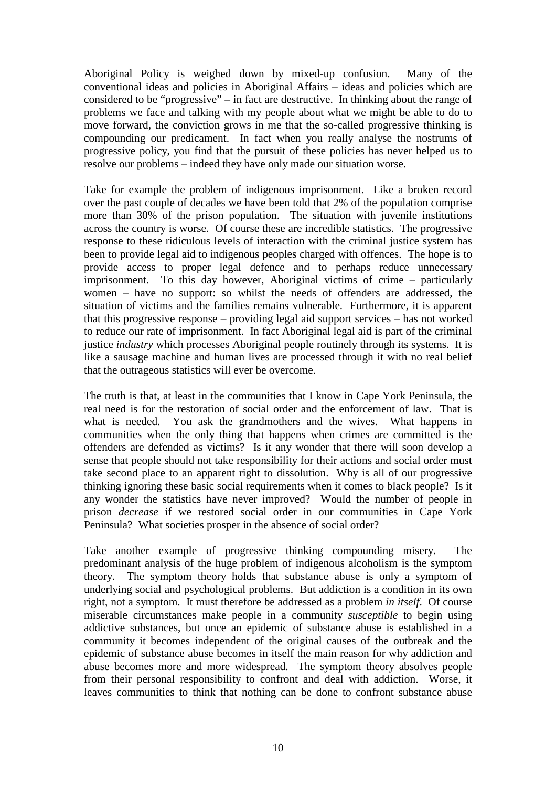Aboriginal Policy is weighed down by mixed-up confusion. Many of the conventional ideas and policies in Aboriginal Affairs – ideas and policies which are considered to be "progressive" – in fact are destructive. In thinking about the range of problems we face and talking with my people about what we might be able to do to move forward, the conviction grows in me that the so-called progressive thinking is compounding our predicament. In fact when you really analyse the nostrums of progressive policy, you find that the pursuit of these policies has never helped us to resolve our problems – indeed they have only made our situation worse.

Take for example the problem of indigenous imprisonment. Like a broken record over the past couple of decades we have been told that 2% of the population comprise more than 30% of the prison population. The situation with juvenile institutions across the country is worse. Of course these are incredible statistics. The progressive response to these ridiculous levels of interaction with the criminal justice system has been to provide legal aid to indigenous peoples charged with offences. The hope is to provide access to proper legal defence and to perhaps reduce unnecessary imprisonment. To this day however, Aboriginal victims of crime – particularly women – have no support: so whilst the needs of offenders are addressed, the situation of victims and the families remains vulnerable. Furthermore, it is apparent that this progressive response – providing legal aid support services – has not worked to reduce our rate of imprisonment. In fact Aboriginal legal aid is part of the criminal justice *industry* which processes Aboriginal people routinely through its systems. It is like a sausage machine and human lives are processed through it with no real belief that the outrageous statistics will ever be overcome.

The truth is that, at least in the communities that I know in Cape York Peninsula, the real need is for the restoration of social order and the enforcement of law. That is what is needed. You ask the grandmothers and the wives. What happens in communities when the only thing that happens when crimes are committed is the offenders are defended as victims? Is it any wonder that there will soon develop a sense that people should not take responsibility for their actions and social order must take second place to an apparent right to dissolution. Why is all of our progressive thinking ignoring these basic social requirements when it comes to black people? Is it any wonder the statistics have never improved? Would the number of people in prison *decrease* if we restored social order in our communities in Cape York Peninsula? What societies prosper in the absence of social order?

Take another example of progressive thinking compounding misery. The predominant analysis of the huge problem of indigenous alcoholism is the symptom theory. The symptom theory holds that substance abuse is only a symptom of underlying social and psychological problems. But addiction is a condition in its own right, not a symptom. It must therefore be addressed as a problem *in itself*. Of course miserable circumstances make people in a community *susceptible* to begin using addictive substances, but once an epidemic of substance abuse is established in a community it becomes independent of the original causes of the outbreak and the epidemic of substance abuse becomes in itself the main reason for why addiction and abuse becomes more and more widespread. The symptom theory absolves people from their personal responsibility to confront and deal with addiction. Worse, it leaves communities to think that nothing can be done to confront substance abuse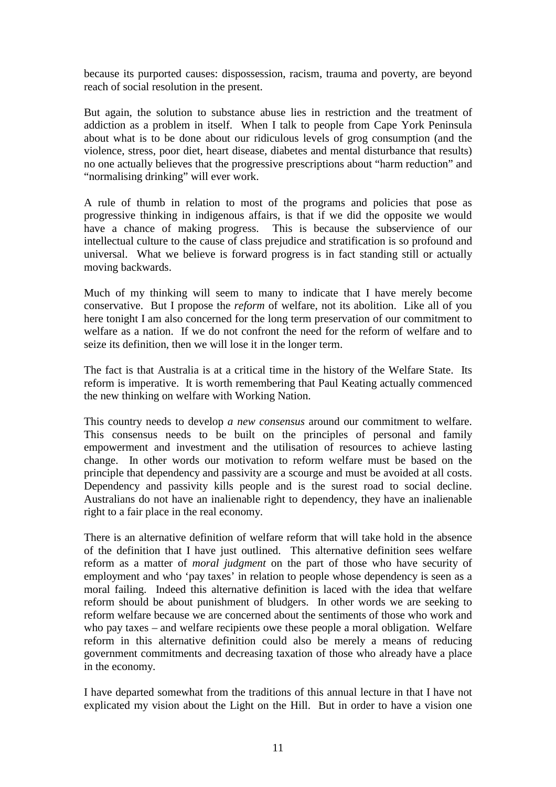because its purported causes: dispossession, racism, trauma and poverty, are beyond reach of social resolution in the present.

But again, the solution to substance abuse lies in restriction and the treatment of addiction as a problem in itself. When I talk to people from Cape York Peninsula about what is to be done about our ridiculous levels of grog consumption (and the violence, stress, poor diet, heart disease, diabetes and mental disturbance that results) no one actually believes that the progressive prescriptions about "harm reduction" and "normalising drinking" will ever work.

A rule of thumb in relation to most of the programs and policies that pose as progressive thinking in indigenous affairs, is that if we did the opposite we would have a chance of making progress. This is because the subservience of our intellectual culture to the cause of class prejudice and stratification is so profound and universal. What we believe is forward progress is in fact standing still or actually moving backwards.

Much of my thinking will seem to many to indicate that I have merely become conservative. But I propose the *reform* of welfare, not its abolition. Like all of you here tonight I am also concerned for the long term preservation of our commitment to welfare as a nation. If we do not confront the need for the reform of welfare and to seize its definition, then we will lose it in the longer term.

The fact is that Australia is at a critical time in the history of the Welfare State. Its reform is imperative. It is worth remembering that Paul Keating actually commenced the new thinking on welfare with Working Nation.

This country needs to develop *a new consensus* around our commitment to welfare. This consensus needs to be built on the principles of personal and family empowerment and investment and the utilisation of resources to achieve lasting change. In other words our motivation to reform welfare must be based on the principle that dependency and passivity are a scourge and must be avoided at all costs. Dependency and passivity kills people and is the surest road to social decline. Australians do not have an inalienable right to dependency, they have an inalienable right to a fair place in the real economy.

There is an alternative definition of welfare reform that will take hold in the absence of the definition that I have just outlined. This alternative definition sees welfare reform as a matter of *moral judgment* on the part of those who have security of employment and who 'pay taxes' in relation to people whose dependency is seen as a moral failing. Indeed this alternative definition is laced with the idea that welfare reform should be about punishment of bludgers. In other words we are seeking to reform welfare because we are concerned about the sentiments of those who work and who pay taxes – and welfare recipients owe these people a moral obligation. Welfare reform in this alternative definition could also be merely a means of reducing government commitments and decreasing taxation of those who already have a place in the economy.

I have departed somewhat from the traditions of this annual lecture in that I have not explicated my vision about the Light on the Hill. But in order to have a vision one